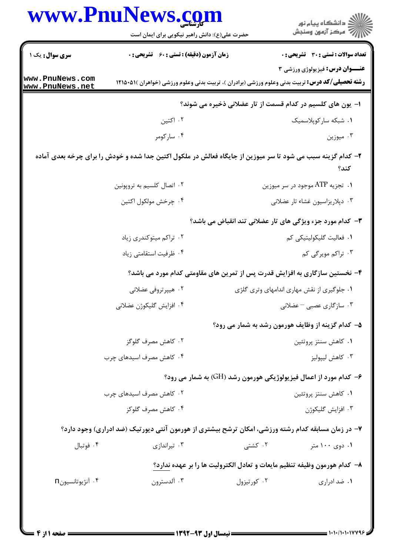|                                    | www.PnuNews.com<br>حضرت علی(ع): دانش راهبر نیکویی برای ایمان است | ر<br>اگر دانشگاه پيام نور<br>اگر مرکز آزمون وسنجش                                                                                                        |
|------------------------------------|------------------------------------------------------------------|----------------------------------------------------------------------------------------------------------------------------------------------------------|
| <b>سری سوال :</b> یک ۱             | <b>زمان آزمون (دقیقه) : تستی : 60 ٪ تشریحی : 0</b>               | <b>تعداد سوالات : تستی : 30 ٪ تشریحی : 0</b>                                                                                                             |
| www.PnuNews.com<br>www.PnuNews.net |                                                                  | <b>عنــوان درس:</b> فیزیولوژی ورزشی ۳<br><b>رشته تحصیلی/کد درس:</b> تربیت بدنی وعلوم ورزشی (برادران )، تربیت بدنی وعلوم ورزشی (خواهران )۵۱۵۰۵۱۱ <b>۱</b> |
|                                    |                                                                  | ا– یون های کلسیم در کدام قسمت از تار عضلانی ذخیره می شوند؟                                                                                               |
|                                    | ۰۲ اکتين                                                         | ٠١ شبكه ساركوپلاسميك                                                                                                                                     |
|                                    | ۰۴ سارکومر                                                       | ۰۳ میوزین                                                                                                                                                |
|                                    |                                                                  | ۲- کدام گزینه سبب می شود تا سر میوزین از جایگاه فعالش در ملکول اکتین جدا شده و خودش را برای چرخه بعدی آماده<br>كند؟                                      |
|                                    | ۰۲ اتصال کلسیم به تروپونین                                       | ۰۱ تجزیه ATP موجود در سر میوزین                                                                                                                          |
|                                    | ۴. چرخش مولکول اکتین                                             | ۰۳ دپلاریزاسیون غشاء تار عضلانی                                                                                                                          |
|                                    |                                                                  | ۳- کدام مورد جزء ویژگی های تار عضلانی تند انقباض می باشد؟                                                                                                |
|                                    | ۰۲ تراکم میتوکندری زیاد                                          | ۰۱ فعالیت گلیکولیتیکی کم                                                                                                                                 |
|                                    | ۰۴ ظرفیت استقامتی زیاد                                           | ۰۳ تراکم مویرگی کم                                                                                                                                       |
|                                    |                                                                  | ۴- نخستین سازگاری به افزایش قدرت پس از تمرین های مقاومتی کدام مورد می باشد؟                                                                              |
|                                    | ۰۲ هیپرتروفی عضلانی                                              | ۰۱ جلوگیری از نقش مهاری اندامهای وتری گلژی                                                                                                               |
|                                    | ۰۴ افزايش گليکوژن عضلاني                                         | ۰۳ سازگاری عصبی – عضلانی                                                                                                                                 |
|                                    |                                                                  | ۵– کدام گزینه از وظایف هورمون رشد به شمار می رود؟                                                                                                        |
|                                    | ۰۲ کاهش مصرف گلوگز                                               | ۰۱ کاهش سنتز پروتئين                                                                                                                                     |
|                                    | ۰۴ کاهش مصرف اسیدهای چرب                                         | ۰۳ کاهش ليپوليز                                                                                                                                          |
|                                    |                                                                  | ۶- کدام مورد از اعمال فیزیولوژیکی هورمون رشد (GH) به شمار می رود؟                                                                                        |
|                                    | ۰۲ کاهش مصرف اسیدهای چرب                                         | ۰۱ كاهش سنتز پروتئين                                                                                                                                     |
|                                    | ۰۴ کاهش مصرف گلوکز                                               | ۰۳ افزايش گليکوژن                                                                                                                                        |
|                                    |                                                                  | ۷– در زمان مسابقه کدام رشته ورزشی، امکان ترشح بیشتری از هورمون آنتی دیورتیک (ضد ادراری) وجود دارد؟                                                       |
| ۰۴ فوتبال                          | ۰۳ تیراندازی                                                     | ۰۲ کشتی<br>۰۱ دوی ۱۰۰ متر                                                                                                                                |
|                                    |                                                                  | ۸– کدام هورمون وظیفه تنظیم مایعات و تعادل الکترولیت ها را بر عهده ندارد؟                                                                                 |
| ۰۴ آنژیوتانسیون <sub>0</sub>       | ۰۳ آلدسترون                                                      | ۰۲ کورتیزول<br>۰۱ ضد ادراری                                                                                                                              |
|                                    |                                                                  |                                                                                                                                                          |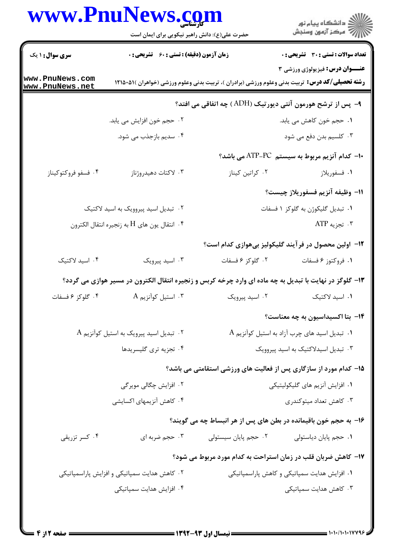## www.PnuNews.com

|                                                                    | www.PnuNews.com<br>حضرت علی(ع): دانش راهبر نیکویی برای ایمان است                                        |                      |                                                                                                                                                           |  |
|--------------------------------------------------------------------|---------------------------------------------------------------------------------------------------------|----------------------|-----------------------------------------------------------------------------------------------------------------------------------------------------------|--|
| <b>سری سوال : ۱ یک</b>                                             | <b>زمان آزمون (دقیقه) : تستی : 60 ٪ تشریحی : 0</b>                                                      |                      | <b>تعداد سوالات : تستی : 30 ٪ تشریحی : 0</b>                                                                                                              |  |
| ww.PnuNews.com<br>ww.PnuNews.net                                   |                                                                                                         |                      | <b>عنـــوان درس:</b> فیزیولوژی ورزشی ۳<br><b>رشته تحصیلی/کد درس:</b> تربیت بدنی وعلوم ورزشی (برادران )، تربیت بدنی وعلوم ورزشی (خواهران )۵۱۵۰۵۱۱ <b>۱</b> |  |
| <b>۹-</b> پس از ترشح هورمون آنتی دیورتیک (ADH ) چه اتفاقی می افتد؟ |                                                                                                         |                      |                                                                                                                                                           |  |
|                                                                    | ۰۲ حجم خون افزایش می یابد.                                                                              |                      | ۰۱ حجم خون کاهش می یابد.                                                                                                                                  |  |
|                                                                    | ۰۴ سدیم بازجذب می شود.                                                                                  |                      | ۰۳ کلسیم بدن دفع می شود                                                                                                                                   |  |
|                                                                    |                                                                                                         |                      | +ا– کدام آنزیم مربوط به سیستم ATP-PC می باشد؟                                                                                                             |  |
| ۰۴ فسفو فروكتوكيناز                                                | ۰۳ لاکتات دهیدروژناز                                                                                    | ۰۲ کراتین کیناز      | ۰۱ فسفوريلاز                                                                                                                                              |  |
|                                                                    |                                                                                                         |                      | <mark>\ا–</mark> وظيفه آنزيم فسفوريلاز چيست؟                                                                                                              |  |
|                                                                    | ۰۲ تبدیل اسید پیروویک به اسید لاکتیک                                                                    |                      | ۰۱ تبدیل گلیکوژن به گلوکز ۱ فسفات                                                                                                                         |  |
|                                                                    | ا انتقال يون هاى $\rm{H}$ به زنجيره انتقال الكترون $\cdot$                                              |                      | ۰۳ تجزیه ATP                                                                                                                                              |  |
|                                                                    |                                                                                                         |                      | ۱۲– اولین محصول در فر آیند گلیکولیز بیهوازی کدام است؟                                                                                                     |  |
| ۰۴ اسید لاکتیک                                                     | ۰۳ اسید پیرویک                                                                                          | ٢. گلوکز ۶ فسفات     | ۰۱ فروکتوز ۶ فسفات                                                                                                                                        |  |
|                                                                    | ۱۳- گلوگز در نهایت با تبدیل به چه ماده ای وارد چرخه کربس و زنجیره انتقال الکترون در مسیر هوازی می گردد؟ |                      |                                                                                                                                                           |  |
|                                                                    |                                                                                                         |                      |                                                                                                                                                           |  |
|                                                                    |                                                                                                         |                      | <b>۱۴</b> - بتا اکسیداسیون به چه معناست؟                                                                                                                  |  |
|                                                                    | ۰۲ تبدیل اسید پیرویک به استیل کوآنزیم A                                                                 |                      | $\rm A$ . تبدیل اسید های چرب آزاد به استیل کوآنزیم $\rm A$                                                                                                |  |
|                                                                    | ۰۴ تجزیه تری گلیسریدها                                                                                  |                      | ۰۳ تبدیل اسیدلاکتیک به اسید پیروویک                                                                                                                       |  |
|                                                                    |                                                                                                         |                      | ۱۵– کدام مورد از سازگاری پس از فعالیت های ورزشی استقامتی می باشد؟                                                                                         |  |
|                                                                    | ۲. افزایش چگالی موبرگی                                                                                  |                      | ۰۱ افزایش آنزیم های گلیکولیتیکی                                                                                                                           |  |
|                                                                    | ۰۴ کاهش آنزیمهای اکسایشی                                                                                |                      | ۰۳ کاهش تعداد میتوکندری                                                                                                                                   |  |
|                                                                    |                                                                                                         |                      | ۱۶– به حجم خون باقیمانده در بطن های پس از هر انبساط چه می گویند؟                                                                                          |  |
| ۰۴ کسر تزریقی                                                      | ۰۳ حجم ضربه ای                                                                                          | ۰۲ حجم پایان سیستولی | ۰۱ حجم پایان دیاستولی                                                                                                                                     |  |
|                                                                    |                                                                                                         |                      | ۱۷- کاهش ضربان قلب در زمان استراحت به کدام مورد مربوط می شود؟                                                                                             |  |
|                                                                    | ۰۲ کاهش هدایت سمپاتیکی و افزایش پاراسمپاتیکی                                                            |                      | ۰۱ افزایش هدایت سمپاتیکی و کاهش پاراسمپاتیکی                                                                                                              |  |
|                                                                    | ۰۴ افزایش هدایت سمپاتیکی                                                                                |                      | ۰۳ کاهش هدایت سمپاتیکی                                                                                                                                    |  |
|                                                                    |                                                                                                         |                      |                                                                                                                                                           |  |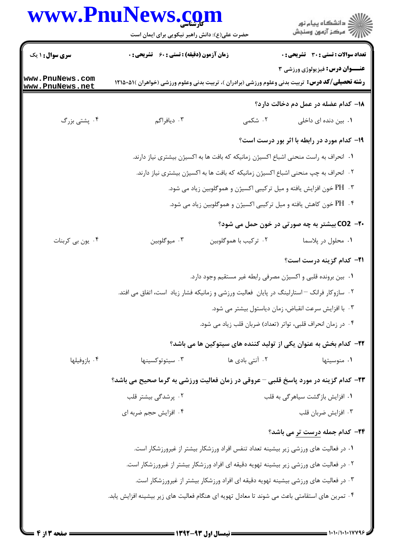## www.PnuNews.com

|                                                                                     | www.PnuNews.com<br>حضرت علی(ع): دانش راهبر نیکویی برای ایمان است                                       |                       | ڪ دانشڪاه پيام نور<br>(7 مرڪز آزمون وسنڊش                           |
|-------------------------------------------------------------------------------------|--------------------------------------------------------------------------------------------------------|-----------------------|---------------------------------------------------------------------|
| <b>سری سوال : ۱ یک</b>                                                              | <b>زمان آزمون (دقیقه) : تستی : 60 ٪ تشریحی : 0</b>                                                     |                       | <b>تعداد سوالات : تستی : 30 ٪ تشریحی : 0</b>                        |
| www.PnuNews.com<br>www.PnuNews.net                                                  | <b>رشته تحصیلی/کد درس:</b> تربیت بدنی وعلوم ورزشی (برادران )، تربیت بدنی وعلوم ورزشی (خواهران )۵۱-۱۲۱۵ |                       | عنــوان درس: فیزیولوژی ورزشی ۳                                      |
|                                                                                     |                                                                                                        |                       | ۱۸– کدام عضله در عمل دم دخالت دارد؟                                 |
| ۰۴ پشتی بزرگ                                                                        | ۰۳ دیافراگم                                                                                            | ۲. شکمی               | <b>۱</b> . بین دنده ای داخلی                                        |
|                                                                                     |                                                                                                        |                       | ۱۹- کدام مورد در رابطه با اثر بور درست است؟                         |
|                                                                                     | ۰۱ انحراف به راست منحنی اشباع اکسیژن زمانیکه که بافت ها به اکسیژن بیشتری نیاز دارند.                   |                       |                                                                     |
|                                                                                     | ۰۲ انحراف به چپ منحنی اشباع اکسیژن زمانیکه که بافت ها به اکسیژن بیشتری نیاز دارند.                     |                       |                                                                     |
| ۰۳ . PH خون افزایش یافته و میل ترکیبی اکسیژن و هموگلوبین زیاد می شود.               |                                                                                                        |                       |                                                                     |
|                                                                                     |                                                                                                        |                       | ۰۴ . PH خون کاهش یافته و میل ترکیبی اکسیژن و هموگلوبین زیاد می شود. |
|                                                                                     |                                                                                                        |                       | <b>۲۰- CO2 بیشتر به چه صورتی در خون حمل می شود؟</b>                 |
| ۰۴ یون بی کربنات                                                                    | ۰۳ میوگلوبین                                                                                           | ۰۲ ترکیب با هموگلوبین | ٠١. محلول در پلاسما                                                 |
|                                                                                     |                                                                                                        |                       | <b>۳۱</b> - کدام گزینه درست است؟                                    |
|                                                                                     |                                                                                                        |                       | ٠١ بين برونده قلبي و اكسيژن مصرفي رابطه غير مستقيم وجود دارد.       |
|                                                                                     | ۰۲ سازوکار فرانک – استارلینگ در پایان  فعالیت ورزشی و زمانیکه فشار زیاد  است، اتفاق می افتد.           |                       |                                                                     |
|                                                                                     |                                                                                                        |                       | ۰۳ با افزایش سرعت انقباض، زمان دیاستول بیشتر می شود.                |
|                                                                                     | ۰۴ در زمان انحراف قلبی، تواتر (تعداد) ضربان قلب زیاد می شود.                                           |                       |                                                                     |
|                                                                                     |                                                                                                        |                       | ٢٢- كدام بخش به عنوان يكي از توليد كننده هاي سيتوكين ها مي باشد؟    |
| ۰۴ بازوفيلها                                                                        | ۰۳ سیتوتوکسینها                                                                                        | ۰۲ آنتی بادی ها       | ۰۱ منوسیتها                                                         |
|                                                                                     | ۲۳– کدام گزینه در مورد پاسخ قلبی – عروقی در زمان فعالیت ورزشی به گرما صحیح می باشد؟                    |                       |                                                                     |
|                                                                                     | ۲. پرشدگی بیشتر قلب                                                                                    |                       | ۰۱ افزایش بازگشت سیاهرگی به قلب                                     |
|                                                                                     | ۰۴ افزایش حجم ضربه ای                                                                                  |                       | ۰۳ افزايش ضربان قلب                                                 |
|                                                                                     |                                                                                                        |                       | <b>۲۴</b> - کدام جمله درست تر می باشد؟                              |
|                                                                                     | ۰۱ در فعالیت های ورزشی زیر بیشینه تعداد تنفس افراد ورزشکار بیشتر از غیرورزشکار است.                    |                       |                                                                     |
|                                                                                     | ۲ . در فعالیت های ورزشی زیر بیشینه تهویه دقیقه ای افراد ورزشکار بیشتر از غیرورزشکار است.               |                       |                                                                     |
| ۰۳ در فعالیت های ورزشی بیشینه تهویه دقیقه ای افراد ورزشکار بیشتر از غیرورزشکار است. |                                                                                                        |                       |                                                                     |
|                                                                                     | ۰۴ تمرین های استقامتی باعث می شوند تا معادل تهویه ای هنگام فعالیت های زیر بیشینه افزایش یابد.          |                       |                                                                     |
|                                                                                     |                                                                                                        |                       |                                                                     |